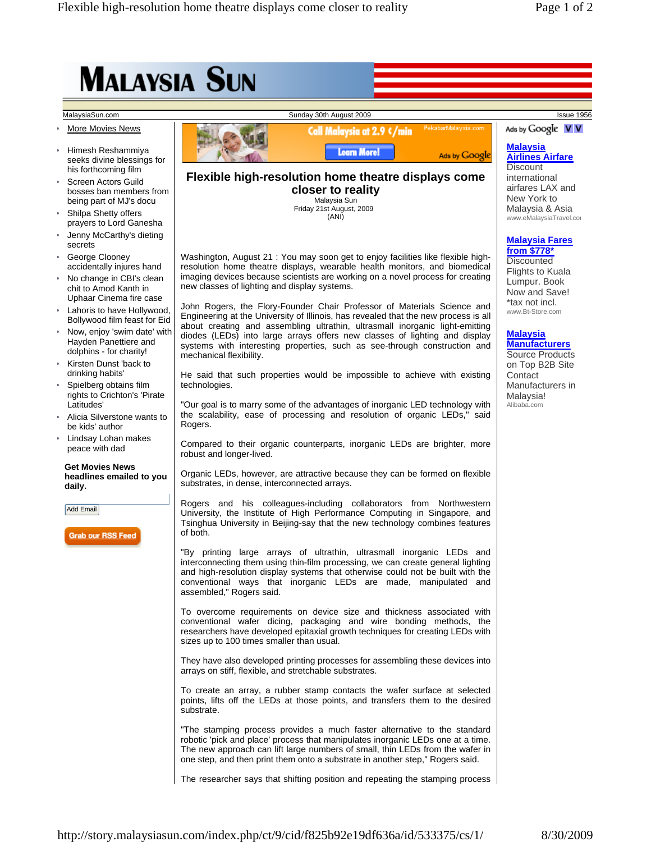#### **MALAYSIA SUN** MalaysiaSun.com **International Sunday 30th August 2009** Issue 1956 Issue 1956 **More Movies News** Ads by Google VV Call Malaysia at 2.9 ¢/min **Malaysia**  • Himesh Reshammiya **Learn More!** Ads by Google **Airlines Airfare** seeks divine blessings for **Discount** his forthcoming film **Flexible high-resolution home theatre displays come**  international Screen Actors Guild airfares LAX and **closer to reality** bosses ban members from New York to being part of MJ's docu Malaysia Sun Friday 21st August, 2009 Malaysia & Asia Shilpa Shetty offers (ANI) www.eMalaysiaTravel.com prayers to Lord Ganesha • Jenny McCarthy's dieting **Malaysia Fares**  secrets **from \$778\*** George Clooney Washington, August 21 : You may soon get to enjoy facilities like flexible high-**Discounted** accidentally injures hand resolution home theatre displays, wearable health monitors, and biomedical Flights to Kuala • No change in CBI's clean imaging devices because scientists are working on a novel process for creating Lumpur. Book new classes of lighting and display systems. chit to Amod Kanth in Now and Save! Uphaar Cinema fire case \*tax not incl. John Rogers, the Flory-Founder Chair Professor of Materials Science and Lahoris to have Hollywood, www.Bt-Store.com Engineering at the University of Illinois, has revealed that the new process is all Bollywood film feast for Eid about creating and assembling ultrathin, ultrasmall inorganic light-emitting • Now, enjoy 'swim date' with **Malaysia**  diodes (LEDs) into large arrays offers new classes of lighting and display Hayden Panettiere and systems with interesting properties, such as see-through construction and **Manufacturers** dolphins - for charity! Source Products mechanical flexibility. • Kirsten Dunst 'back to on Top B2B Site drinking habits' He said that such properties would be impossible to achieve with existing **Contact** Spielberg obtains film technologies. Manufacturers in rights to Crichton's 'Pirate Malaysia! Latitudes' "Our goal is to marry some of the advantages of inorganic LED technology with Alibaba.com the scalability, ease of processing and resolution of organic LEDs," said • Alicia Silverstone wants to Rogers. be kids' author • Lindsay Lohan makes Compared to their organic counterparts, inorganic LEDs are brighter, more peace with dad robust and longer-lived. **Get Movies News**  Organic LEDs, however, are attractive because they can be formed on flexible **headlines emailed to you**  substrates, in dense, interconnected arrays. **daily.** Rogers and his colleagues-including collaborators from Northwestern Add Email University, the Institute of High Performance Computing in Singapore, and Tsinghua University in Beijing-say that the new technology combines features of both. **Grab our RSS Feed** "By printing large arrays of ultrathin, ultrasmall inorganic LEDs and interconnecting them using thin-film processing, we can create general lighting and high-resolution display systems that otherwise could not be built with the conventional ways that inorganic LEDs are made, manipulated and assembled," Rogers said. To overcome requirements on device size and thickness associated with conventional wafer dicing, packaging and wire bonding methods, the researchers have developed epitaxial growth techniques for creating LEDs with sizes up to 100 times smaller than usual. They have also developed printing processes for assembling these devices into arrays on stiff, flexible, and stretchable substrates. To create an array, a rubber stamp contacts the wafer surface at selected points, lifts off the LEDs at those points, and transfers them to the desired substrate. "The stamping process provides a much faster alternative to the standard robotic 'pick and place' process that manipulates inorganic LEDs one at a time. The new approach can lift large numbers of small, thin LEDs from the wafer in one step, and then print them onto a substrate in another step," Rogers said. The researcher says that shifting position and repeating the stamping process